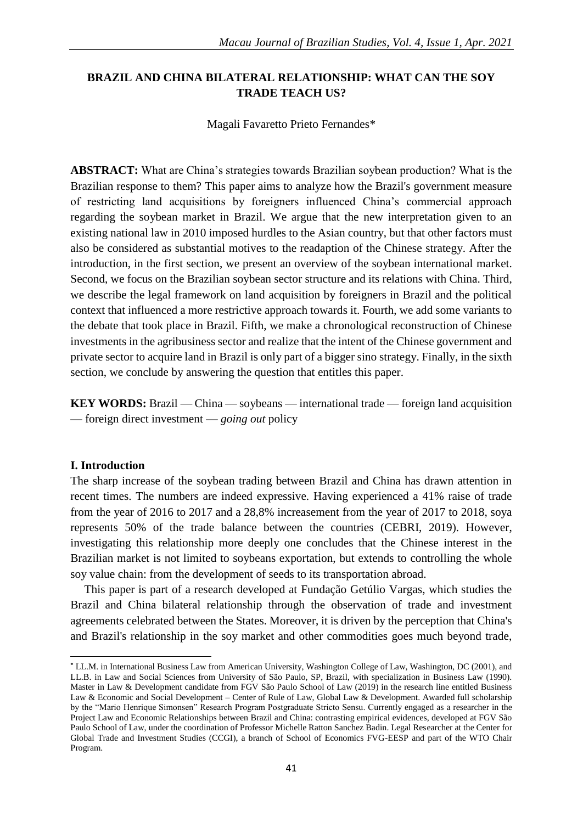# **BRAZIL AND CHINA BILATERAL RELATIONSHIP: WHAT CAN THE SOY TRADE TEACH US?**

Magali Favaretto Prieto Fernandes\*

**ABSTRACT:** What are China's strategies towards Brazilian soybean production? What is the Brazilian response to them? This paper aims to analyze how the Brazil's government measure of restricting land acquisitions by foreigners influenced China's commercial approach regarding the soybean market in Brazil. We argue that the new interpretation given to an existing national law in 2010 imposed hurdles to the Asian country, but that other factors must also be considered as substantial motives to the readaption of the Chinese strategy. After the introduction, in the first section, we present an overview of the soybean international market. Second, we focus on the Brazilian soybean sector structure and its relations with China. Third, we describe the legal framework on land acquisition by foreigners in Brazil and the political context that influenced a more restrictive approach towards it. Fourth, we add some variants to the debate that took place in Brazil. Fifth, we make a chronological reconstruction of Chinese investments in the agribusiness sector and realize that the intent of the Chinese government and private sector to acquire land in Brazil is only part of a bigger sino strategy. Finally, in the sixth section, we conclude by answering the question that entitles this paper.

**KEY WORDS:** Brazil — China — soybeans — international trade — foreign land acquisition — foreign direct investment — *going out* policy

# **I. Introduction**

1

The sharp increase of the soybean trading between Brazil and China has drawn attention in recent times. The numbers are indeed expressive. Having experienced a 41% raise of trade from the year of 2016 to 2017 and a 28,8% increasement from the year of 2017 to 2018, soya represents 50% of the trade balance between the countries (CEBRI, 2019). However, investigating this relationship more deeply one concludes that the Chinese interest in the Brazilian market is not limited to soybeans exportation, but extends to controlling the whole soy value chain: from the development of seeds to its transportation abroad.

This paper is part of a research developed at Fundação Getúlio Vargas, which studies the Brazil and China bilateral relationship through the observation of trade and investment agreements celebrated between the States. Moreover, it is driven by the perception that China's and Brazil's relationship in the soy market and other commodities goes much beyond trade,

**<sup>\*</sup>** LL.M. in International Business Law from American University, Washington College of Law, Washington, DC (2001), and LL.B. in Law and Social Sciences from University of São Paulo, SP, Brazil, with specialization in Business Law (1990). Master in Law & Development candidate from FGV São Paulo School of Law (2019) in the research line entitled Business Law & Economic and Social Development – Center of Rule of Law, Global Law & Development. Awarded full scholarship by the "Mario Henrique Simonsen" Research Program Postgraduate Stricto Sensu. Currently engaged as a researcher in the Project Law and Economic Relationships between Brazil and China: contrasting empirical evidences, developed at FGV São Paulo School of Law, under the coordination of Professor Michelle Ratton Sanchez Badin. Legal Researcher at the Center for Global Trade and Investment Studies (CCGI), a branch of School of Economics FVG-EESP and part of the WTO Chair Program.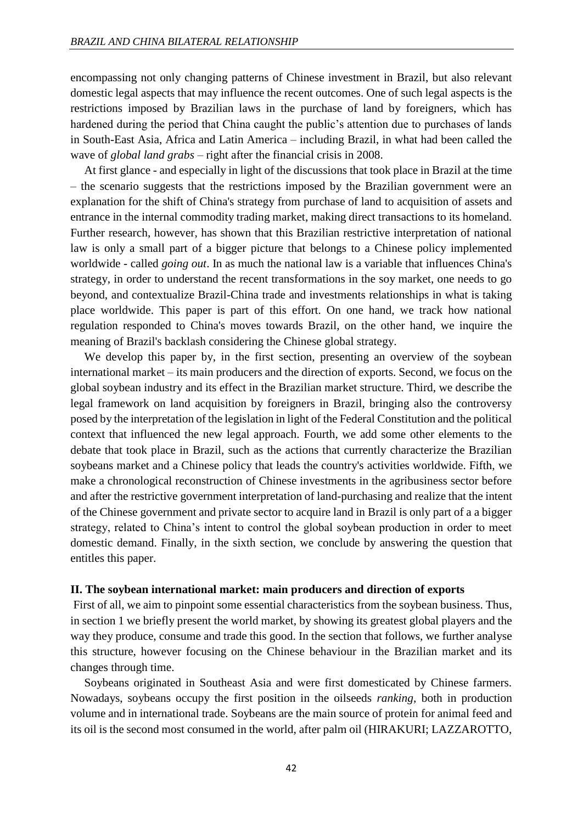encompassing not only changing patterns of Chinese investment in Brazil, but also relevant domestic legal aspects that may influence the recent outcomes. One of such legal aspects is the restrictions imposed by Brazilian laws in the purchase of land by foreigners, which has hardened during the period that China caught the public's attention due to purchases of lands in South-East Asia, Africa and Latin America – including Brazil, in what had been called the wave of *global land grabs –* right after the financial crisis in 2008.

At first glance - and especially in light of the discussions that took place in Brazil at the time – the scenario suggests that the restrictions imposed by the Brazilian government were an explanation for the shift of China's strategy from purchase of land to acquisition of assets and entrance in the internal commodity trading market, making direct transactions to its homeland. Further research, however, has shown that this Brazilian restrictive interpretation of national law is only a small part of a bigger picture that belongs to a Chinese policy implemented worldwide - called *going out*. In as much the national law is a variable that influences China's strategy, in order to understand the recent transformations in the soy market, one needs to go beyond, and contextualize Brazil-China trade and investments relationships in what is taking place worldwide. This paper is part of this effort. On one hand, we track how national regulation responded to China's moves towards Brazil, on the other hand, we inquire the meaning of Brazil's backlash considering the Chinese global strategy.

We develop this paper by, in the first section, presenting an overview of the soybean international market – its main producers and the direction of exports. Second, we focus on the global soybean industry and its effect in the Brazilian market structure. Third, we describe the legal framework on land acquisition by foreigners in Brazil, bringing also the controversy posed by the interpretation of the legislation in light of the Federal Constitution and the political context that influenced the new legal approach. Fourth, we add some other elements to the debate that took place in Brazil, such as the actions that currently characterize the Brazilian soybeans market and a Chinese policy that leads the country's activities worldwide. Fifth, we make a chronological reconstruction of Chinese investments in the agribusiness sector before and after the restrictive government interpretation of land-purchasing and realize that the intent of the Chinese government and private sector to acquire land in Brazil is only part of a a bigger strategy, related to China's intent to control the global soybean production in order to meet domestic demand. Finally, in the sixth section, we conclude by answering the question that entitles this paper.

#### **II. The soybean international market: main producers and direction of exports**

First of all, we aim to pinpoint some essential characteristics from the soybean business. Thus, in section 1 we briefly present the world market, by showing its greatest global players and the way they produce, consume and trade this good. In the section that follows, we further analyse this structure, however focusing on the Chinese behaviour in the Brazilian market and its changes through time.

Soybeans originated in Southeast Asia and were first domesticated by Chinese farmers. Nowadays, soybeans occupy the first position in the oilseeds *ranking*, both in production volume and in international trade. Soybeans are the main source of protein for animal feed and its oil is the second most consumed in the world, after palm oil (HIRAKURI; LAZZAROTTO,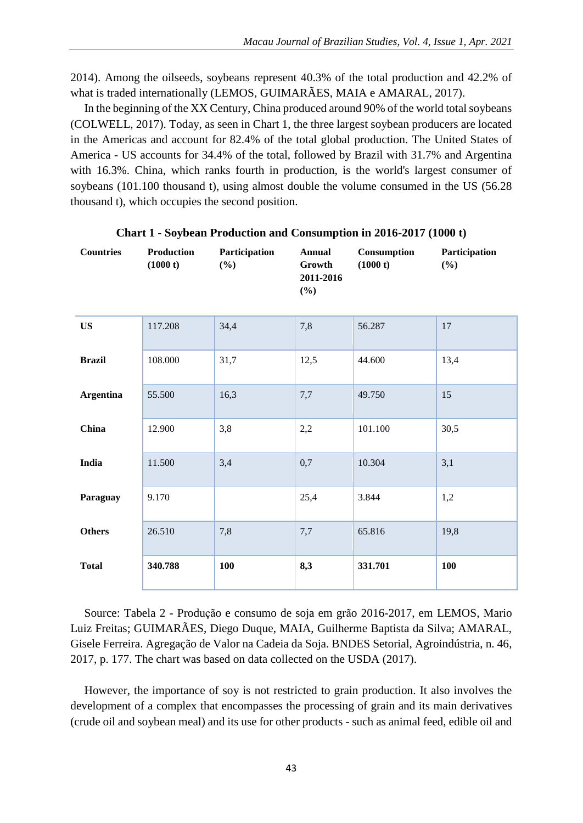2014). Among the oilseeds, soybeans represent 40.3% of the total production and 42.2% of what is traded internationally (LEMOS, GUIMARÃES, MAIA e AMARAL, 2017).

In the beginning of the XX Century, China produced around 90% of the world total soybeans (COLWELL, 2017). Today, as seen in Chart 1, the three largest soybean producers are located in the Americas and account for 82.4% of the total global production. The United States of America - US accounts for 34.4% of the total, followed by Brazil with 31.7% and Argentina with 16.3%. China, which ranks fourth in production, is the world's largest consumer of soybeans (101.100 thousand t), using almost double the volume consumed in the US (56.28 thousand t), which occupies the second position.

| <b>Countries</b> | Production<br>(1000 t) | Participation<br>$(\%)$ | <b>Annual</b><br>Growth<br>2011-2016<br>(%) | Consumption<br>(1000 t) | Participation<br>$(\%)$ |
|------------------|------------------------|-------------------------|---------------------------------------------|-------------------------|-------------------------|
| <b>US</b>        | 117.208                | 34,4                    | 7,8                                         | 56.287                  | 17                      |
| <b>Brazil</b>    | 108.000                | 31,7                    | 12,5                                        | 44.600                  | 13,4                    |
| <b>Argentina</b> | 55.500                 | 16,3                    | 7,7                                         | 49.750                  | 15                      |
| China            | 12.900                 | 3,8                     | 2,2                                         | 101.100                 | 30,5                    |
| India            | 11.500                 | 3,4                     | 0,7                                         | 10.304                  | 3,1                     |
| Paraguay         | 9.170                  |                         | 25,4                                        | 3.844                   | 1,2                     |
| <b>Others</b>    | 26.510                 | 7,8                     | 7,7                                         | 65.816                  | 19,8                    |
| <b>Total</b>     | 340.788                | 100                     | 8,3                                         | 331.701                 | 100                     |

**Chart 1 - Soybean Production and Consumption in 2016-2017 (1000 t)**

Source: Tabela 2 - Produção e consumo de soja em grão 2016-2017, em LEMOS, Mario Luiz Freitas; GUIMARÃES, Diego Duque, MAIA, Guilherme Baptista da Silva; AMARAL, Gisele Ferreira. Agregação de Valor na Cadeia da Soja. BNDES Setorial, Agroindústria, n. 46, 2017, p. 177. The chart was based on data collected on the USDA (2017).

However, the importance of soy is not restricted to grain production. It also involves the development of a complex that encompasses the processing of grain and its main derivatives (crude oil and soybean meal) and its use for other products - such as animal feed, edible oil and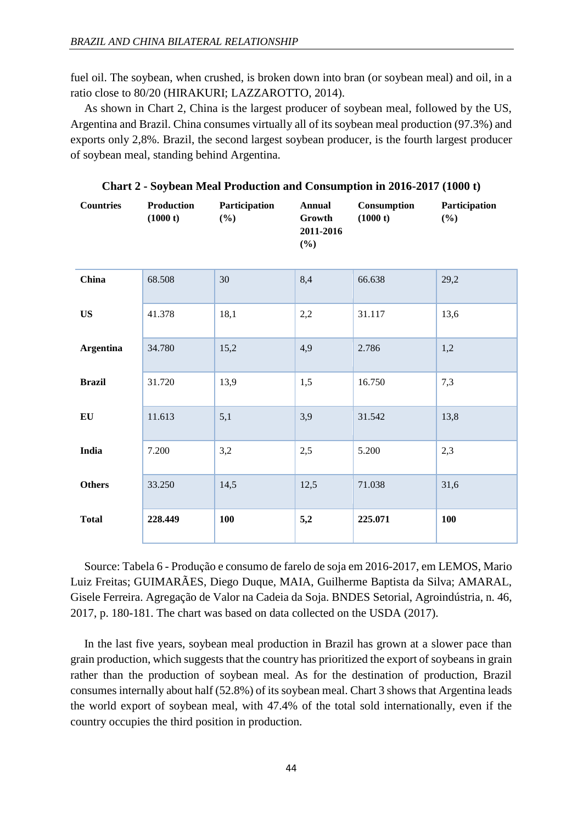fuel oil. The soybean, when crushed, is broken down into bran (or soybean meal) and oil, in a ratio close to 80/20 (HIRAKURI; LAZZAROTTO, 2014).

As shown in Chart 2, China is the largest producer of soybean meal, followed by the US, Argentina and Brazil. China consumes virtually all of its soybean meal production (97.3%) and exports only 2,8%. Brazil, the second largest soybean producer, is the fourth largest producer of soybean meal, standing behind Argentina.

| <b>Countries</b> | Production<br>(1000 t) | Participation<br>(%) | <b>Annual</b><br>Growth<br>2011-2016<br>(%) | Consumption<br>(1000 t) | Participation<br>(%) |
|------------------|------------------------|----------------------|---------------------------------------------|-------------------------|----------------------|
| China            | 68.508                 | 30                   | 8,4                                         | 66.638                  | 29,2                 |
| <b>US</b>        | 41.378                 | 18,1                 | 2,2                                         | 31.117                  | 13,6                 |
| <b>Argentina</b> | 34.780                 | 15,2                 | 4,9                                         | 2.786                   | 1,2                  |
| <b>Brazil</b>    | 31.720                 | 13,9                 | 1,5                                         | 16.750                  | 7,3                  |
| EU               | 11.613                 | 5,1                  | 3,9                                         | 31.542                  | 13,8                 |
| India            | 7.200                  | 3,2                  | 2,5                                         | 5.200                   | 2,3                  |
| <b>Others</b>    | 33.250                 | 14,5                 | 12,5                                        | 71.038                  | 31,6                 |
| <b>Total</b>     | 228.449                | 100                  | 5,2                                         | 225.071                 | 100                  |

**Chart 2 - Soybean Meal Production and Consumption in 2016-2017 (1000 t)**

Source: Tabela 6 - Produção e consumo de farelo de soja em 2016-2017, em LEMOS, Mario Luiz Freitas; GUIMARÃES, Diego Duque, MAIA, Guilherme Baptista da Silva; AMARAL, Gisele Ferreira. Agregação de Valor na Cadeia da Soja. BNDES Setorial, Agroindústria, n. 46, 2017, p. 180-181. The chart was based on data collected on the USDA (2017).

In the last five years, soybean meal production in Brazil has grown at a slower pace than grain production, which suggests that the country has prioritized the export of soybeans in grain rather than the production of soybean meal. As for the destination of production, Brazil consumes internally about half (52.8%) of its soybean meal. Chart 3 shows that Argentina leads the world export of soybean meal, with 47.4% of the total sold internationally, even if the country occupies the third position in production.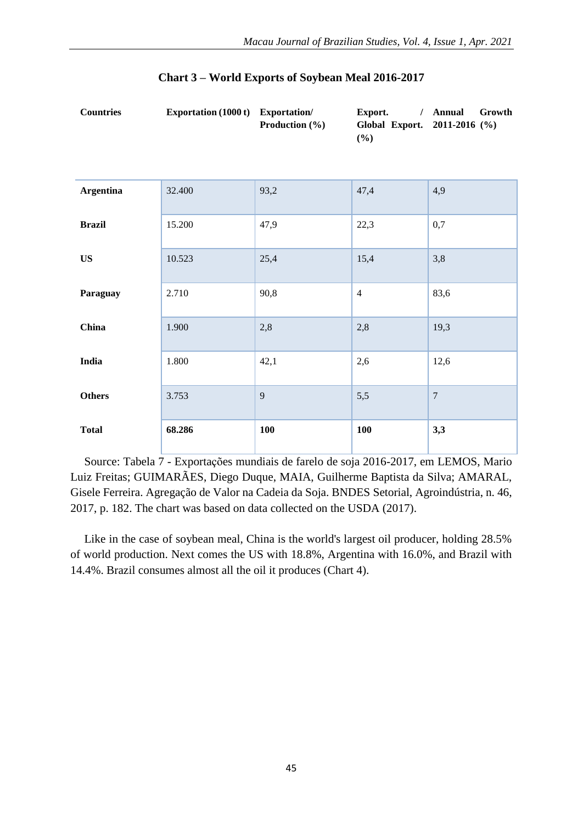**Export.** / **Annual** 

**Annual Growth** 

|                  |        | <b>Production</b> $(\%)$ | Global Export. 2011-2016 (%)<br>(%) |                |
|------------------|--------|--------------------------|-------------------------------------|----------------|
| <b>Argentina</b> | 32.400 | 93,2                     | 47,4                                | 4,9            |
| <b>Brazil</b>    | 15.200 | 47,9                     | 22,3                                | 0,7            |
| <b>US</b>        | 10.523 | 25,4                     | 15,4                                | 3,8            |
| Paraguay         | 2.710  | 90,8                     | $\overline{4}$                      | 83,6           |
| China            | 1.900  | 2,8                      | 2,8                                 | 19,3           |
| India            | 1.800  | 42,1                     | 2,6                                 | 12,6           |
| <b>Others</b>    | 3.753  | 9                        | 5,5                                 | $\overline{7}$ |
| <b>Total</b>     | 68.286 | <b>100</b>               | <b>100</b>                          | 3,3            |

**Countries Exportation (1000 t) Exportation/** 

Source: Tabela 7 - Exportações mundiais de farelo de soja 2016-2017, em LEMOS, Mario Luiz Freitas; GUIMARÃES, Diego Duque, MAIA, Guilherme Baptista da Silva; AMARAL, Gisele Ferreira. Agregação de Valor na Cadeia da Soja. BNDES Setorial, Agroindústria, n. 46, 2017, p. 182. The chart was based on data collected on the USDA (2017).

Like in the case of soybean meal, China is the world's largest oil producer, holding 28.5% of world production. Next comes the US with 18.8%, Argentina with 16.0%, and Brazil with 14.4%. Brazil consumes almost all the oil it produces (Chart 4).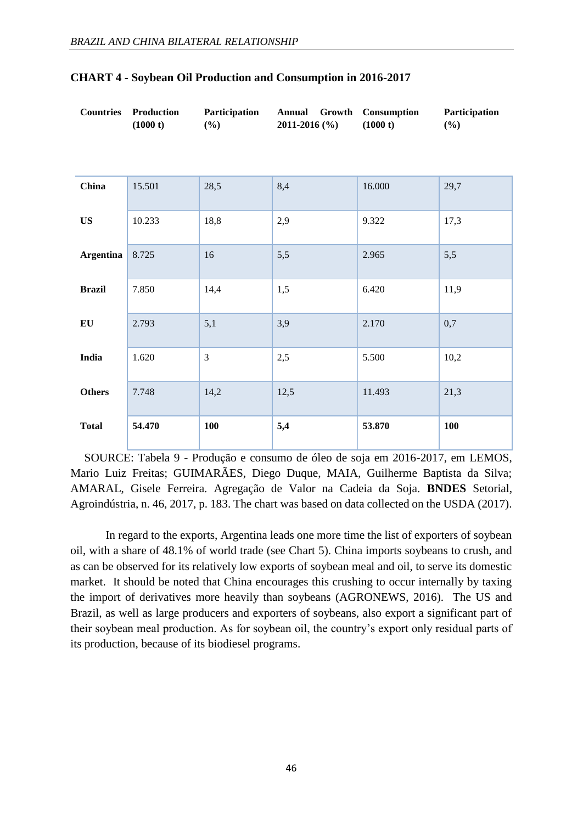| <b>Countries</b> | Production<br>(1000 t) | Participation<br>$(\%)$ | Annual Growth<br>2011-2016 (%) | Consumption<br>(1000 t) | Participation<br>$(\%)$ |
|------------------|------------------------|-------------------------|--------------------------------|-------------------------|-------------------------|
|                  |                        |                         |                                |                         |                         |
| China            | 15.501                 | 28,5                    | 8,4                            | 16.000                  | 29,7                    |
| <b>US</b>        | 10.233                 | 18,8                    | 2,9                            | 9.322                   | 17,3                    |
| <b>Argentina</b> | 8.725                  | 16                      | 5,5                            | 2.965                   | 5,5                     |
| <b>Brazil</b>    | 7.850                  | 14,4                    | 1,5                            | 6.420                   | 11,9                    |
| EU               | 2.793                  | 5,1                     | 3,9                            | 2.170                   | 0,7                     |
| India            | 1.620                  | 3                       | 2,5                            | 5.500                   | 10,2                    |
| <b>Others</b>    | 7.748                  | 14,2                    | 12,5                           | 11.493                  | 21,3                    |
| <b>Total</b>     | 54.470                 | 100                     | 5,4                            | 53.870                  | 100                     |

### **CHART 4 - Soybean Oil Production and Consumption in 2016-2017**

SOURCE: Tabela 9 - Produção e consumo de óleo de soja em 2016-2017, em LEMOS, Mario Luiz Freitas; GUIMARÃES, Diego Duque, MAIA, Guilherme Baptista da Silva; AMARAL, Gisele Ferreira. Agregação de Valor na Cadeia da Soja. **BNDES** Setorial, Agroindústria, n. 46, 2017, p. 183. The chart was based on data collected on the USDA (2017).

 In regard to the exports, Argentina leads one more time the list of exporters of soybean oil, with a share of 48.1% of world trade (see Chart 5). China imports soybeans to crush, and as can be observed for its relatively low exports of soybean meal and oil, to serve its domestic market. It should be noted that China encourages this crushing to occur internally by taxing the import of derivatives more heavily than soybeans (AGRONEWS, 2016). The US and Brazil, as well as large producers and exporters of soybeans, also export a significant part of their soybean meal production. As for soybean oil, the country's export only residual parts of its production, because of its biodiesel programs.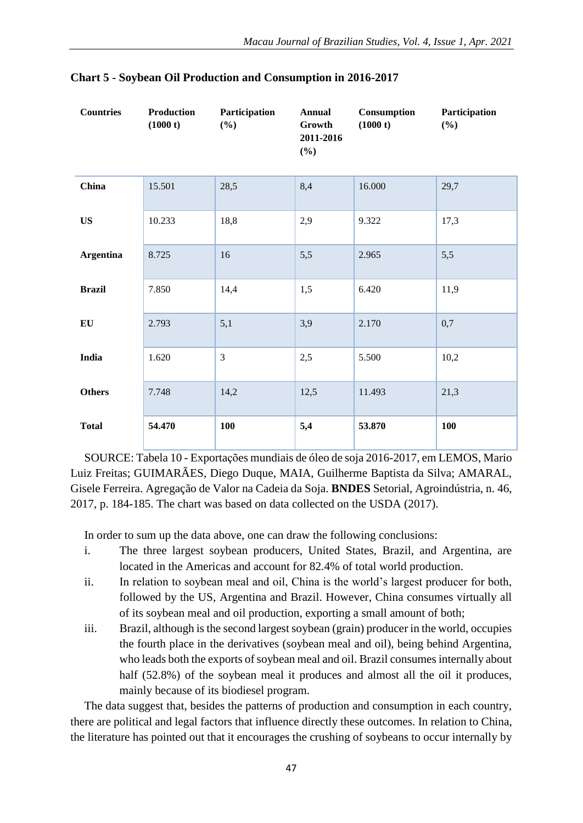| <b>Countries</b> | Production<br>(1000 t) | Participation<br>(%) | <b>Annual</b><br>Growth<br>2011-2016<br>(%) | Consumption<br>(1000 t) | Participation<br>$(\%)$ |
|------------------|------------------------|----------------------|---------------------------------------------|-------------------------|-------------------------|
| China            | 15.501                 | 28,5                 | 8,4                                         | 16.000                  | 29,7                    |
| <b>US</b>        | 10.233                 | 18,8                 | 2,9                                         | 9.322                   | 17,3                    |
| <b>Argentina</b> | 8.725                  | 16                   | 5,5                                         | 2.965                   | 5,5                     |
| <b>Brazil</b>    | 7.850                  | 14,4                 | 1,5                                         | 6.420                   | 11,9                    |
| EU               | 2.793                  | 5,1                  | 3,9                                         | 2.170                   | 0,7                     |
| India            | 1.620                  | $\overline{3}$       | 2,5                                         | 5.500                   | 10,2                    |
| <b>Others</b>    | 7.748                  | 14,2                 | 12,5                                        | 11.493                  | 21,3                    |
| <b>Total</b>     | 54.470                 | 100                  | 5,4                                         | 53.870                  | 100                     |

|  |  | <b>Chart 5 - Soybean Oil Production and Consumption in 2016-2017</b> |  |
|--|--|----------------------------------------------------------------------|--|
|  |  |                                                                      |  |

SOURCE: Tabela 10 - Exportações mundiais de óleo de soja 2016-2017, em LEMOS, Mario Luiz Freitas; GUIMARÃES, Diego Duque, MAIA, Guilherme Baptista da Silva; AMARAL, Gisele Ferreira. Agregação de Valor na Cadeia da Soja. **BNDES** Setorial, Agroindústria, n. 46, 2017, p. 184-185. The chart was based on data collected on the USDA (2017).

In order to sum up the data above, one can draw the following conclusions:

- i. The three largest soybean producers, United States, Brazil, and Argentina, are located in the Americas and account for 82.4% of total world production.
- ii. In relation to soybean meal and oil, China is the world's largest producer for both, followed by the US, Argentina and Brazil. However, China consumes virtually all of its soybean meal and oil production, exporting a small amount of both;
- iii. Brazil, although is the second largest soybean (grain) producer in the world, occupies the fourth place in the derivatives (soybean meal and oil), being behind Argentina, who leads both the exports of soybean meal and oil. Brazil consumes internally about half (52.8%) of the soybean meal it produces and almost all the oil it produces, mainly because of its biodiesel program.

The data suggest that, besides the patterns of production and consumption in each country, there are political and legal factors that influence directly these outcomes. In relation to China, the literature has pointed out that it encourages the crushing of soybeans to occur internally by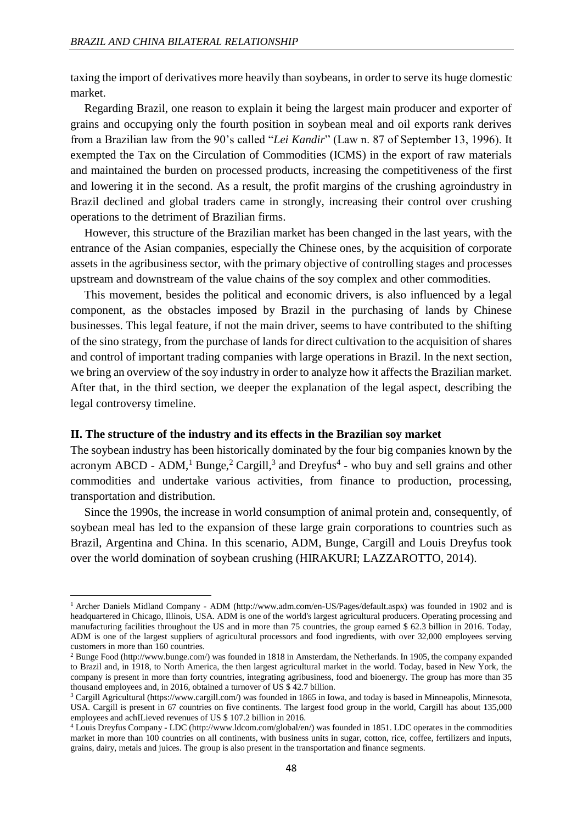taxing the import of derivatives more heavily than soybeans, in order to serve its huge domestic market.

Regarding Brazil, one reason to explain it being the largest main producer and exporter of grains and occupying only the fourth position in soybean meal and oil exports rank derives from a Brazilian law from the 90's called "*Lei Kandir*" (Law n. 87 of September 13, 1996). It exempted the Tax on the Circulation of Commodities (ICMS) in the export of raw materials and maintained the burden on processed products, increasing the competitiveness of the first and lowering it in the second. As a result, the profit margins of the crushing agroindustry in Brazil declined and global traders came in strongly, increasing their control over crushing operations to the detriment of Brazilian firms.

However, this structure of the Brazilian market has been changed in the last years, with the entrance of the Asian companies, especially the Chinese ones, by the acquisition of corporate assets in the agribusiness sector, with the primary objective of controlling stages and processes upstream and downstream of the value chains of the soy complex and other commodities.

This movement, besides the political and economic drivers, is also influenced by a legal component, as the obstacles imposed by Brazil in the purchasing of lands by Chinese businesses. This legal feature, if not the main driver, seems to have contributed to the shifting of the sino strategy, from the purchase of lands for direct cultivation to the acquisition of shares and control of important trading companies with large operations in Brazil. In the next section, we bring an overview of the soy industry in order to analyze how it affects the Brazilian market. After that, in the third section, we deeper the explanation of the legal aspect, describing the legal controversy timeline.

#### **II. The structure of the industry and its effects in the Brazilian soy market**

**.** 

The soybean industry has been historically dominated by the four big companies known by the acronym ABCD - ADM,<sup>1</sup> Bunge,<sup>2</sup> Cargill,<sup>3</sup> and Dreyfus<sup>4</sup> - who buy and sell grains and other commodities and undertake various activities, from finance to production, processing, transportation and distribution.

Since the 1990s, the increase in world consumption of animal protein and, consequently, of soybean meal has led to the expansion of these large grain corporations to countries such as Brazil, Argentina and China. In this scenario, ADM, Bunge, Cargill and Louis Dreyfus took over the world domination of soybean crushing (HIRAKURI; LAZZAROTTO, 2014).

<sup>1</sup> Archer Daniels Midland Company - ADM (http://www.adm.com/en-US/Pages/default.aspx) was founded in 1902 and is headquartered in Chicago, Illinois, USA. ADM is one of the world's largest agricultural producers. Operating processing and manufacturing facilities throughout the US and in more than 75 countries, the group earned \$ 62.3 billion in 2016. Today, ADM is one of the largest suppliers of agricultural processors and food ingredients, with over 32,000 employees serving customers in more than 160 countries.

<sup>2</sup> Bunge Food (http://www.bunge.com/) was founded in 1818 in Amsterdam, the Netherlands. In 1905, the company expanded to Brazil and, in 1918, to North America, the then largest agricultural market in the world. Today, based in New York, the company is present in more than forty countries, integrating agribusiness, food and bioenergy. The group has more than 35 thousand employees and, in 2016, obtained a turnover of US \$ 42.7 billion.

<sup>&</sup>lt;sup>3</sup> Cargill Agricultural (https://www.cargill.com/) was founded in 1865 in Iowa, and today is based in Minneapolis, Minnesota, USA. Cargill is present in 67 countries on five continents. The largest food group in the world, Cargill has about 135,000 employees and achILieved revenues of US \$ 107.2 billion in 2016.

<sup>4</sup> Louis Dreyfus Company - LDC (http://www.ldcom.com/global/en/) was founded in 1851. LDC operates in the commodities market in more than 100 countries on all continents, with business units in sugar, cotton, rice, coffee, fertilizers and inputs, grains, dairy, metals and juices. The group is also present in the transportation and finance segments.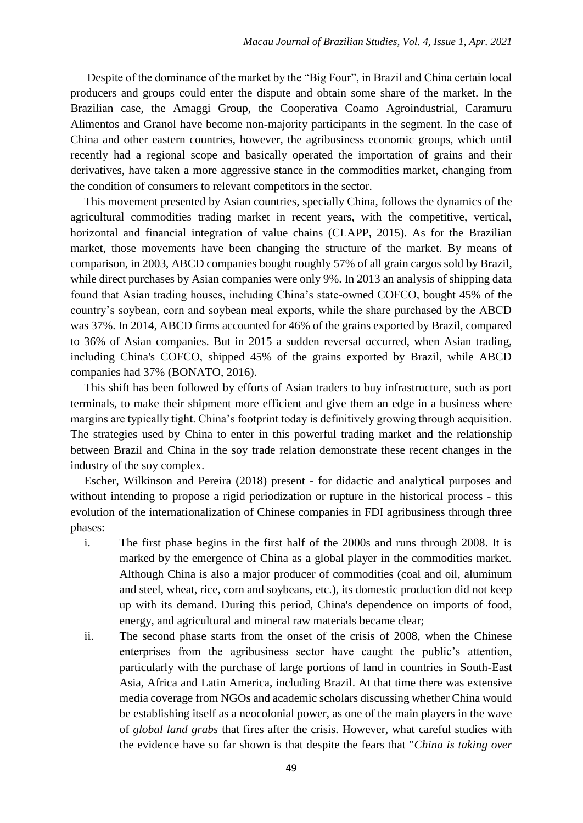Despite of the dominance of the market by the "Big Four", in Brazil and China certain local producers and groups could enter the dispute and obtain some share of the market. In the Brazilian case, the Amaggi Group, the Cooperativa Coamo Agroindustrial, Caramuru Alimentos and Granol have become non-majority participants in the segment. In the case of China and other eastern countries, however, the agribusiness economic groups, which until recently had a regional scope and basically operated the importation of grains and their derivatives, have taken a more aggressive stance in the commodities market, changing from the condition of consumers to relevant competitors in the sector.

This movement presented by Asian countries, specially China, follows the dynamics of the agricultural commodities trading market in recent years, with the competitive, vertical, horizontal and financial integration of value chains (CLAPP, 2015). As for the Brazilian market, those movements have been changing the structure of the market. By means of comparison, in 2003, ABCD companies bought roughly 57% of all grain cargos sold by Brazil, while direct purchases by Asian companies were only 9%. In 2013 an analysis of shipping data found that Asian trading houses, including China's state-owned COFCO, bought 45% of the country's soybean, corn and soybean meal exports, while the share purchased by the ABCD was 37%. In 2014, ABCD firms accounted for 46% of the grains exported by Brazil, compared to 36% of Asian companies. But in 2015 a sudden reversal occurred, when Asian trading, including China's COFCO, shipped 45% of the grains exported by Brazil, while ABCD companies had 37% (BONATO, 2016).

This shift has been followed by efforts of Asian traders to buy infrastructure, such as port terminals, to make their shipment more efficient and give them an edge in a business where margins are typically tight. China's footprint today is definitively growing through acquisition. The strategies used by China to enter in this powerful trading market and the relationship between Brazil and China in the soy trade relation demonstrate these recent changes in the industry of the soy complex.

Escher, Wilkinson and Pereira (2018) present - for didactic and analytical purposes and without intending to propose a rigid periodization or rupture in the historical process - this evolution of the internationalization of Chinese companies in FDI agribusiness through three phases:

- i. The first phase begins in the first half of the 2000s and runs through 2008. It is marked by the emergence of China as a global player in the commodities market. Although China is also a major producer of commodities (coal and oil, aluminum and steel, wheat, rice, corn and soybeans, etc.), its domestic production did not keep up with its demand. During this period, China's dependence on imports of food, energy, and agricultural and mineral raw materials became clear;
- ii. The second phase starts from the onset of the crisis of 2008, when the Chinese enterprises from the agribusiness sector have caught the public's attention, particularly with the purchase of large portions of land in countries in South-East Asia, Africa and Latin America, including Brazil. At that time there was extensive media coverage from NGOs and academic scholars discussing whether China would be establishing itself as a neocolonial power, as one of the main players in the wave of *global land grabs* that fires after the crisis. However, what careful studies with the evidence have so far shown is that despite the fears that "*China is taking over*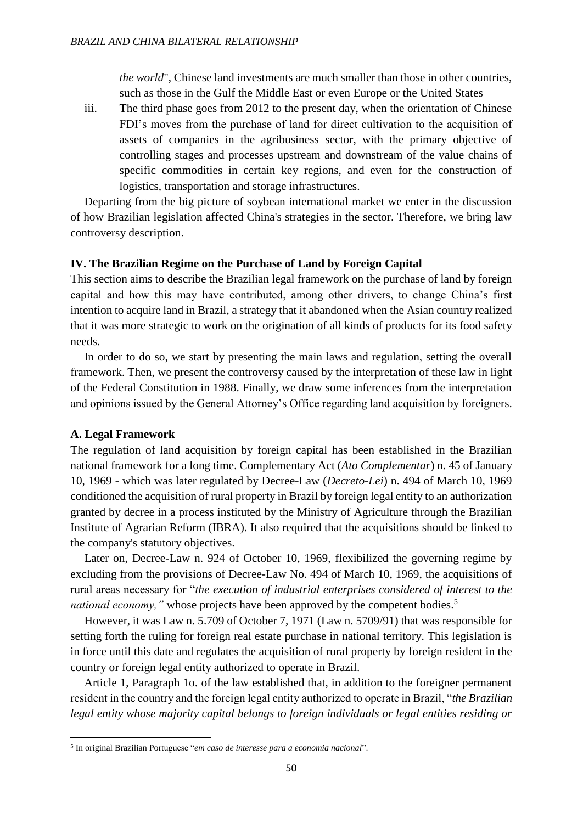*the world*", Chinese land investments are much smaller than those in other countries, such as those in the Gulf the Middle East or even Europe or the United States

iii. The third phase goes from 2012 to the present day, when the orientation of Chinese FDI's moves from the purchase of land for direct cultivation to the acquisition of assets of companies in the agribusiness sector, with the primary objective of controlling stages and processes upstream and downstream of the value chains of specific commodities in certain key regions, and even for the construction of logistics, transportation and storage infrastructures.

Departing from the big picture of soybean international market we enter in the discussion of how Brazilian legislation affected China's strategies in the sector. Therefore, we bring law controversy description.

### **IV. The Brazilian Regime on the Purchase of Land by Foreign Capital**

This section aims to describe the Brazilian legal framework on the purchase of land by foreign capital and how this may have contributed, among other drivers, to change China's first intention to acquire land in Brazil, a strategy that it abandoned when the Asian country realized that it was more strategic to work on the origination of all kinds of products for its food safety needs.

In order to do so, we start by presenting the main laws and regulation, setting the overall framework. Then, we present the controversy caused by the interpretation of these law in light of the Federal Constitution in 1988. Finally, we draw some inferences from the interpretation and opinions issued by the General Attorney's Office regarding land acquisition by foreigners.

# **A. Legal Framework**

1

The regulation of land acquisition by foreign capital has been established in the Brazilian national framework for a long time. Complementary Act (*Ato Complementar*) n. 45 of January 10, 1969 - which was later regulated by Decree-Law (*Decreto-Lei*) n. 494 of March 10, 1969 conditioned the acquisition of rural property in Brazil by foreign legal entity to an authorization granted by decree in a process instituted by the Ministry of Agriculture through the Brazilian Institute of Agrarian Reform (IBRA). It also required that the acquisitions should be linked to the company's statutory objectives.

Later on, Decree-Law n. 924 of October 10, 1969, flexibilized the governing regime by excluding from the provisions of Decree-Law No. 494 of March 10, 1969, the acquisitions of rural areas necessary for "*the execution of industrial enterprises considered of interest to the national economy,* " whose projects have been approved by the competent bodies.<sup>5</sup>

However, it was Law n. 5.709 of October 7, 1971 (Law n. 5709/91) that was responsible for setting forth the ruling for foreign real estate purchase in national territory. This legislation is in force until this date and regulates the acquisition of rural property by foreign resident in the country or foreign legal entity authorized to operate in Brazil.

Article 1, Paragraph 1o. of the law established that, in addition to the foreigner permanent resident in the country and the foreign legal entity authorized to operate in Brazil, "*the Brazilian legal entity whose majority capital belongs to foreign individuals or legal entities residing or* 

<sup>5</sup> In original Brazilian Portuguese "*em caso de interesse para a economia nacional*".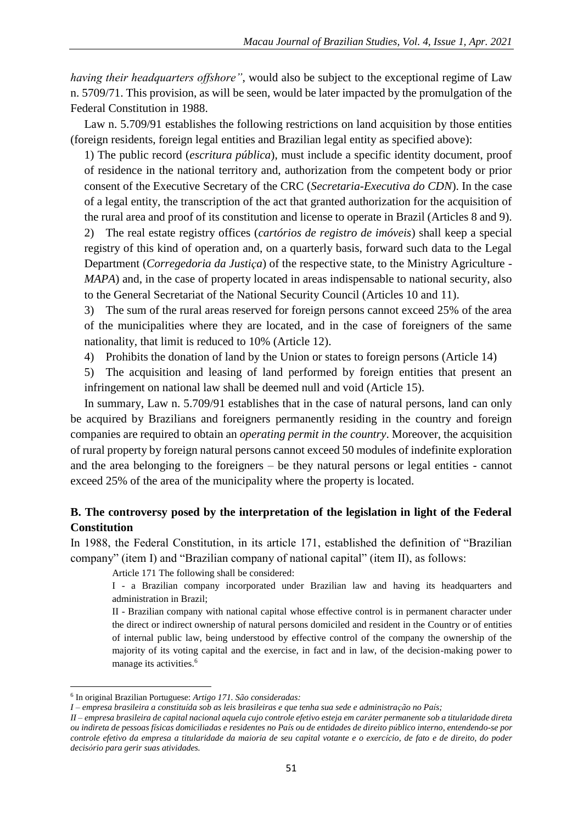*having their headquarters offshore"*, would also be subject to the exceptional regime of Law n. 5709/71. This provision, as will be seen, would be later impacted by the promulgation of the Federal Constitution in 1988.

Law n. 5.709/91 establishes the following restrictions on land acquisition by those entities (foreign residents, foreign legal entities and Brazilian legal entity as specified above):

1) The public record (*escritura pública*), must include a specific identity document, proof of residence in the national territory and, authorization from the competent body or prior consent of the Executive Secretary of the CRC (*Secretaria-Executiva do CDN*). In the case of a legal entity, the transcription of the act that granted authorization for the acquisition of the rural area and proof of its constitution and license to operate in Brazil (Articles 8 and 9).

2) The real estate registry offices (*cartórios de registro de imóveis*) shall keep a special registry of this kind of operation and, on a quarterly basis, forward such data to the Legal Department (*Corregedoria da Justiça*) of the respective state, to the Ministry Agriculture *- MAPA*) and, in the case of property located in areas indispensable to national security, also to the General Secretariat of the National Security Council (Articles 10 and 11).

3) The sum of the rural areas reserved for foreign persons cannot exceed 25% of the area of the municipalities where they are located, and in the case of foreigners of the same nationality, that limit is reduced to 10% (Article 12).

4) Prohibits the donation of land by the Union or states to foreign persons (Article 14)

5) The acquisition and leasing of land performed by foreign entities that present an infringement on national law shall be deemed null and void (Article 15).

In summary, Law n. 5.709/91 establishes that in the case of natural persons, land can only be acquired by Brazilians and foreigners permanently residing in the country and foreign companies are required to obtain an *operating permit in the country*. Moreover, the acquisition of rural property by foreign natural persons cannot exceed 50 modules of indefinite exploration and the area belonging to the foreigners – be they natural persons or legal entities - cannot exceed 25% of the area of the municipality where the property is located.

# **B. The controversy posed by the interpretation of the legislation in light of the Federal Constitution**

In 1988, the Federal Constitution, in its article 171, established the definition of "Brazilian company" (item I) and "Brazilian company of national capital" (item II), as follows:

Article 171 The following shall be considered:

I - a Brazilian company incorporated under Brazilian law and having its headquarters and administration in Brazil;

II - Brazilian company with national capital whose effective control is in permanent character under the direct or indirect ownership of natural persons domiciled and resident in the Country or of entities of internal public law, being understood by effective control of the company the ownership of the majority of its voting capital and the exercise, in fact and in law, of the decision-making power to manage its activities.<sup>6</sup>

<sup>6</sup> In original Brazilian Portuguese: *Artigo 171. São consideradas:*

*I – empresa brasileira a constituída sob as leis brasileiras e que tenha sua sede e administração no País;*

*II – empresa brasileira de capital nacional aquela cujo controle efetivo esteja em caráter permanente sob a titularidade direta ou indireta de pessoas físicas domiciliadas e residentes no País ou de entidades de direito público interno, entendendo-se por controle efetivo da empresa a titularidade da maioria de seu capital votante e o exercício, de fato e de direito, do poder decisório para gerir suas atividades.*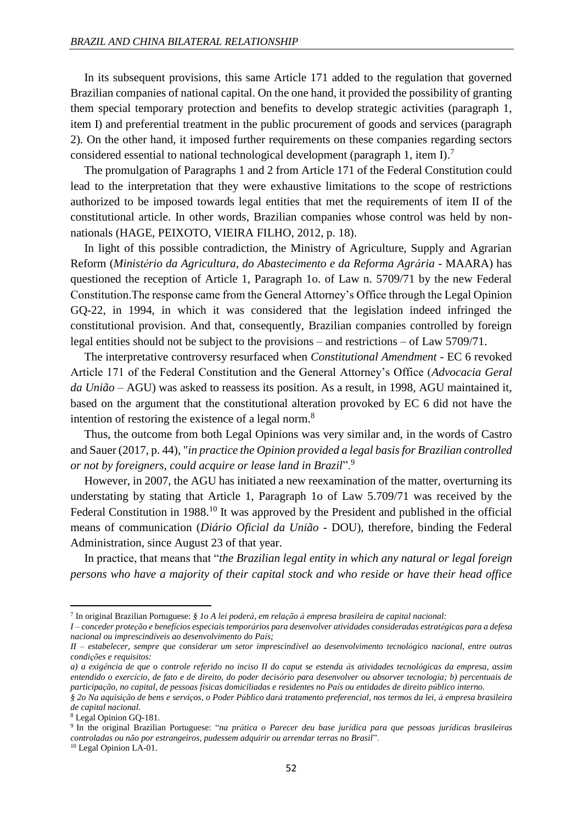In its subsequent provisions, this same Article 171 added to the regulation that governed Brazilian companies of national capital. On the one hand, it provided the possibility of granting them special temporary protection and benefits to develop strategic activities (paragraph 1, item I) and preferential treatment in the public procurement of goods and services (paragraph 2). On the other hand, it imposed further requirements on these companies regarding sectors considered essential to national technological development (paragraph 1, item I).<sup>7</sup>

The promulgation of Paragraphs 1 and 2 from Article 171 of the Federal Constitution could lead to the interpretation that they were exhaustive limitations to the scope of restrictions authorized to be imposed towards legal entities that met the requirements of item II of the constitutional article. In other words, Brazilian companies whose control was held by nonnationals (HAGE, PEIXOTO, VIEIRA FILHO, 2012, p. 18).

In light of this possible contradiction, the Ministry of Agriculture, Supply and Agrarian Reform (*Ministério da Agricultura, do Abastecimento e da Reforma Agrária* - MAARA) has questioned the reception of Article 1, Paragraph 1o. of Law n. 5709/71 by the new Federal Constitution.The response came from the General Attorney's Office through the Legal Opinion GQ-22, in 1994, in which it was considered that the legislation indeed infringed the constitutional provision. And that, consequently, Brazilian companies controlled by foreign legal entities should not be subject to the provisions – and restrictions – of Law 5709/71.

The interpretative controversy resurfaced when *Constitutional Amendment* - EC 6 revoked Article 171 of the Federal Constitution and the General Attorney's Office (*Advocacia Geral da União* – AGU) was asked to reassess its position. As a result, in 1998, AGU maintained it, based on the argument that the constitutional alteration provoked by EC 6 did not have the intention of restoring the existence of a legal norm.<sup>8</sup>

Thus, the outcome from both Legal Opinions was very similar and, in the words of Castro and Sauer (2017, p. 44), "*in practice the Opinion provided a legal basis for Brazilian controlled or not by foreigners, could acquire or lease land in Brazil*".<sup>9</sup>

However, in 2007, the AGU has initiated a new reexamination of the matter, overturning its understating by stating that Article 1, Paragraph 1o of Law 5.709/71 was received by the Federal Constitution in 1988.<sup>10</sup> It was approved by the President and published in the official means of communication (*Diário Oficial da União* - DOU), therefore, binding the Federal Administration, since August 23 of that year.

In practice, that means that "*the Brazilian legal entity in which any natural or legal foreign persons who have a majority of their capital stock and who reside or have their head office* 

-

<sup>7</sup> In original Brazilian Portuguese: *§ 1o A lei poderá, em relação à empresa brasileira de capital nacional:*

*I – conceder proteção e benefícios especiais temporários para desenvolver atividades consideradas estratégicas para a defesa nacional ou imprescindíveis ao desenvolvimento do País; II – estabelecer, sempre que considerar um setor imprescindível ao desenvolvimento tecnológico nacional, entre outras* 

*condições e requisitos:*

*a) a exigência de que o controle referido no inciso II do caput se estenda às atividades tecnológicas da empresa, assim entendido o exercício, de fato e de direito, do poder decisório para desenvolver ou absorver tecnologia; b) percentuais de participação, no capital, de pessoas físicas domiciliadas e residentes no País ou entidades de direito público interno.*

*<sup>§ 2</sup>o Na aquisição de bens e serviços, o Poder Público dará tratamento preferencial, nos termos da lei, à empresa brasileira de capital nacional.*

<sup>8</sup> Legal Opinion GQ-181.

<sup>9</sup> In the original Brazilian Portuguese: "*na prática o Parecer deu base jurídica para que pessoas jurídicas brasileiras controladas ou não por estrangeiros, pudessem adquirir ou arrendar terras no Brasil*".

<sup>10</sup> Legal Opinion LA-01.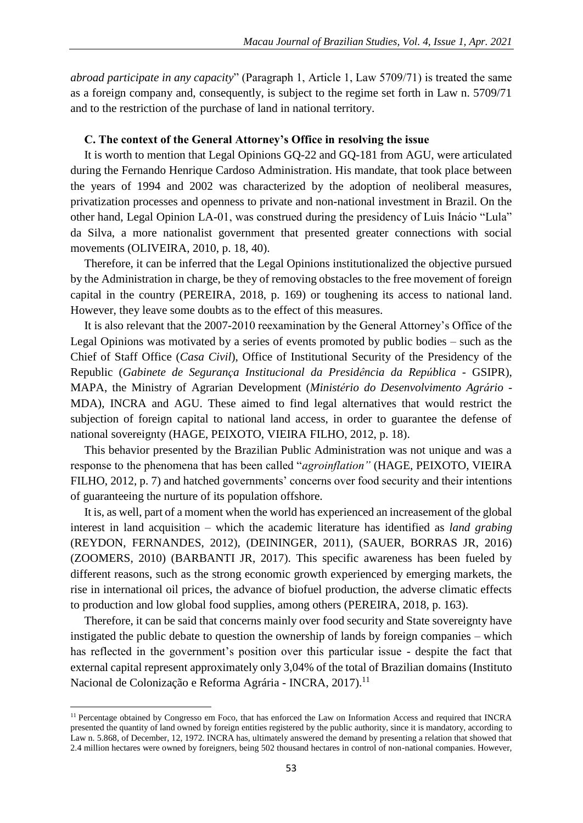*abroad participate in any capacity*" (Paragraph 1, Article 1, Law 5709/71) is treated the same as a foreign company and, consequently, is subject to the regime set forth in Law n. 5709/71 and to the restriction of the purchase of land in national territory.

#### **C. The context of the General Attorney's Office in resolving the issue**

It is worth to mention that Legal Opinions GQ-22 and GQ-181 from AGU, were articulated during the Fernando Henrique Cardoso Administration. His mandate, that took place between the years of 1994 and 2002 was characterized by the adoption of neoliberal measures, privatization processes and openness to private and non-national investment in Brazil. On the other hand, Legal Opinion LA-01, was construed during the presidency of Luis Inácio "Lula" da Silva, a more nationalist government that presented greater connections with social movements (OLIVEIRA, 2010, p. 18, 40).

Therefore, it can be inferred that the Legal Opinions institutionalized the objective pursued by the Administration in charge, be they of removing obstacles to the free movement of foreign capital in the country (PEREIRA, 2018, p. 169) or toughening its access to national land. However, they leave some doubts as to the effect of this measures.

It is also relevant that the 2007-2010 reexamination by the General Attorney's Office of the Legal Opinions was motivated by a series of events promoted by public bodies – such as the Chief of Staff Office (*Casa Civil*), Office of Institutional Security of the Presidency of the Republic (*Gabinete de Segurança Institucional da Presidência da República* - GSIPR), MAPA, the Ministry of Agrarian Development (*Ministério do Desenvolvimento Agrário* - MDA), INCRA and AGU. These aimed to find legal alternatives that would restrict the subjection of foreign capital to national land access, in order to guarantee the defense of national sovereignty (HAGE, PEIXOTO, VIEIRA FILHO, 2012, p. 18).

This behavior presented by the Brazilian Public Administration was not unique and was a response to the phenomena that has been called "*agroinflation"* (HAGE, PEIXOTO, VIEIRA FILHO, 2012, p. 7) and hatched governments' concerns over food security and their intentions of guaranteeing the nurture of its population offshore.

It is, as well, part of a moment when the world has experienced an increasement of the global interest in land acquisition – which the academic literature has identified as *land grabing* (REYDON, FERNANDES, 2012), (DEININGER, 2011), (SAUER, BORRAS JR, 2016) (ZOOMERS, 2010) (BARBANTI JR, 2017). This specific awareness has been fueled by different reasons, such as the strong economic growth experienced by emerging markets, the rise in international oil prices, the advance of biofuel production, the adverse climatic effects to production and low global food supplies, among others (PEREIRA, 2018, p. 163).

Therefore, it can be said that concerns mainly over food security and State sovereignty have instigated the public debate to question the ownership of lands by foreign companies – which has reflected in the government's position over this particular issue - despite the fact that external capital represent approximately only 3,04% of the total of Brazilian domains (Instituto Nacional de Colonização e Reforma Agrária - INCRA, 2017).<sup>11</sup>

<sup>&</sup>lt;sup>11</sup> Percentage obtained by Congresso em Foco, that has enforced the Law on Information Access and required that INCRA presented the quantity of land owned by foreign entities registered by the public authority, since it is mandatory, according to Law n. 5.868, of December, 12, 1972. INCRA has, ultimately answered the demand by presenting a relation that showed that 2.4 million hectares were owned by foreigners, being 502 thousand hectares in control of non-national companies. However,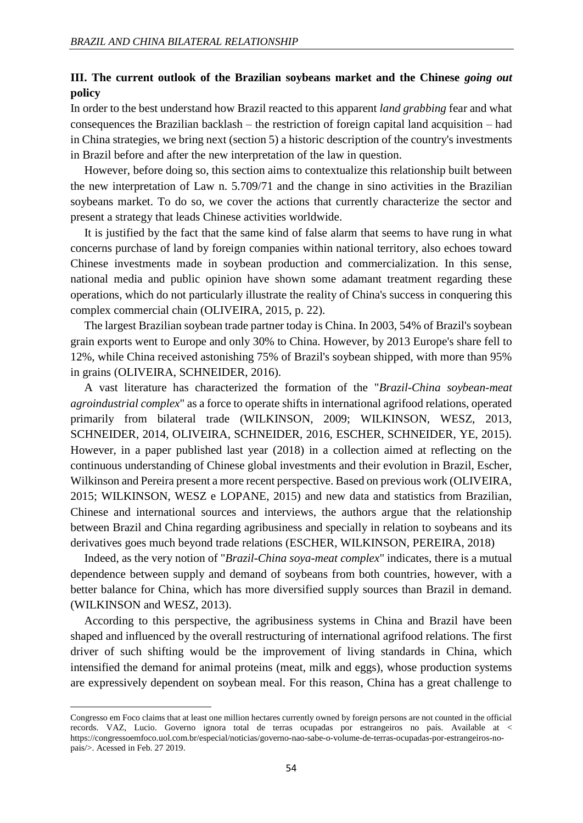# **III. The current outlook of the Brazilian soybeans market and the Chinese** *going out* **policy**

In order to the best understand how Brazil reacted to this apparent *land grabbing* fear and what consequences the Brazilian backlash – the restriction of foreign capital land acquisition – had in China strategies, we bring next (section 5) a historic description of the country's investments in Brazil before and after the new interpretation of the law in question.

However, before doing so, this section aims to contextualize this relationship built between the new interpretation of Law n. 5.709/71 and the change in sino activities in the Brazilian soybeans market. To do so, we cover the actions that currently characterize the sector and present a strategy that leads Chinese activities worldwide.

It is justified by the fact that the same kind of false alarm that seems to have rung in what concerns purchase of land by foreign companies within national territory, also echoes toward Chinese investments made in soybean production and commercialization. In this sense, national media and public opinion have shown some adamant treatment regarding these operations, which do not particularly illustrate the reality of China's success in conquering this complex commercial chain (OLIVEIRA, 2015, p. 22).

The largest Brazilian soybean trade partner today is China. In 2003, 54% of Brazil's soybean grain exports went to Europe and only 30% to China. However, by 2013 Europe's share fell to 12%, while China received astonishing 75% of Brazil's soybean shipped, with more than 95% in grains (OLIVEIRA, SCHNEIDER, 2016).

A vast literature has characterized the formation of the "*Brazil-China soybean-meat agroindustrial complex*" as a force to operate shifts in international agrifood relations, operated primarily from bilateral trade (WILKINSON, 2009; WILKINSON, WESZ, 2013, SCHNEIDER, 2014, OLIVEIRA, SCHNEIDER, 2016, ESCHER, SCHNEIDER, YE, 2015). However, in a paper published last year (2018) in a collection aimed at reflecting on the continuous understanding of Chinese global investments and their evolution in Brazil, Escher, Wilkinson and Pereira present a more recent perspective. Based on previous work (OLIVEIRA, 2015; WILKINSON, WESZ e LOPANE, 2015) and new data and statistics from Brazilian, Chinese and international sources and interviews, the authors argue that the relationship between Brazil and China regarding agribusiness and specially in relation to soybeans and its derivatives goes much beyond trade relations (ESCHER, WILKINSON, PEREIRA, 2018)

Indeed, as the very notion of "*Brazil-China soya-meat complex*" indicates, there is a mutual dependence between supply and demand of soybeans from both countries, however, with a better balance for China, which has more diversified supply sources than Brazil in demand. (WILKINSON and WESZ, 2013).

According to this perspective, the agribusiness systems in China and Brazil have been shaped and influenced by the overall restructuring of international agrifood relations. The first driver of such shifting would be the improvement of living standards in China, which intensified the demand for animal proteins (meat, milk and eggs), whose production systems are expressively dependent on soybean meal. For this reason, China has a great challenge to

Congresso em Foco claims that at least one million hectares currently owned by foreign persons are not counted in the official records. VAZ, Lucio. Governo ignora total de terras ocupadas por estrangeiros no país. Available at < https://congressoemfoco.uol.com.br/especial/noticias/governo-nao-sabe-o-volume-de-terras-ocupadas-por-estrangeiros-nopais/>. Acessed in Feb. 27 2019.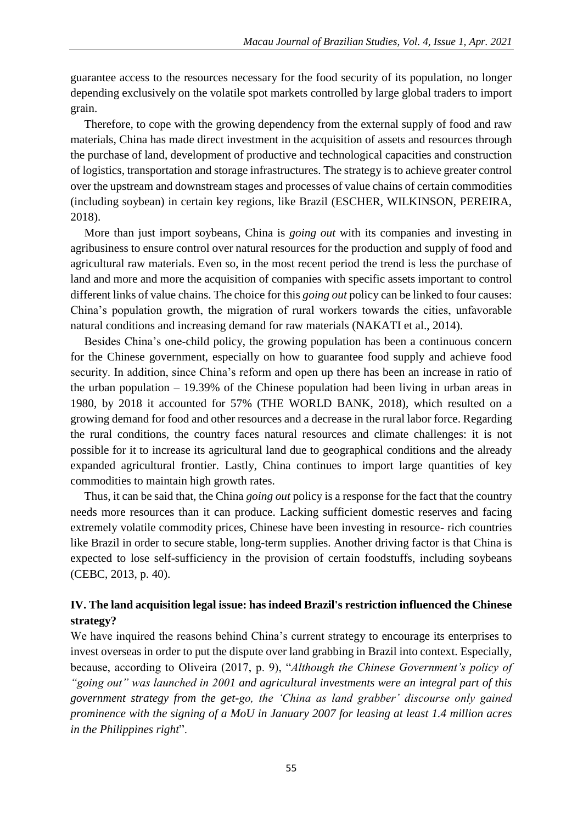guarantee access to the resources necessary for the food security of its population, no longer depending exclusively on the volatile spot markets controlled by large global traders to import grain.

Therefore, to cope with the growing dependency from the external supply of food and raw materials, China has made direct investment in the acquisition of assets and resources through the purchase of land, development of productive and technological capacities and construction of logistics, transportation and storage infrastructures. The strategy is to achieve greater control over the upstream and downstream stages and processes of value chains of certain commodities (including soybean) in certain key regions, like Brazil (ESCHER, WILKINSON, PEREIRA, 2018).

More than just import soybeans, China is *going out* with its companies and investing in agribusiness to ensure control over natural resources for the production and supply of food and agricultural raw materials. Even so, in the most recent period the trend is less the purchase of land and more and more the acquisition of companies with specific assets important to control different links of value chains. The choice for this *going out* policy can be linked to four causes: China's population growth, the migration of rural workers towards the cities, unfavorable natural conditions and increasing demand for raw materials (NAKATI et al., 2014).

Besides China's one-child policy, the growing population has been a continuous concern for the Chinese government, especially on how to guarantee food supply and achieve food security. In addition, since China's reform and open up there has been an increase in ratio of the urban population – 19.39% of the Chinese population had been living in urban areas in 1980, by 2018 it accounted for 57% (THE WORLD BANK, 2018), which resulted on a growing demand for food and other resources and a decrease in the rural labor force. Regarding the rural conditions, the country faces natural resources and climate challenges: it is not possible for it to increase its agricultural land due to geographical conditions and the already expanded agricultural frontier. Lastly, China continues to import large quantities of key commodities to maintain high growth rates.

Thus, it can be said that, the China *going out* policy is a response for the fact that the country needs more resources than it can produce. Lacking sufficient domestic reserves and facing extremely volatile commodity prices, Chinese have been investing in resource- rich countries like Brazil in order to secure stable, long-term supplies. Another driving factor is that China is expected to lose self-sufficiency in the provision of certain foodstuffs, including soybeans (CEBC, 2013, p. 40).

# **IV. The land acquisition legal issue: has indeed Brazil's restriction influenced the Chinese strategy?**

We have inquired the reasons behind China's current strategy to encourage its enterprises to invest overseas in order to put the dispute over land grabbing in Brazil into context. Especially, because, according to Oliveira (2017, p. 9), "*Although the Chinese Government's policy of "going out" was launched in 2001 and agricultural investments were an integral part of this government strategy from the get-go, the 'China as land grabber' discourse only gained prominence with the signing of a MoU in January 2007 for leasing at least 1.4 million acres in the Philippines right*".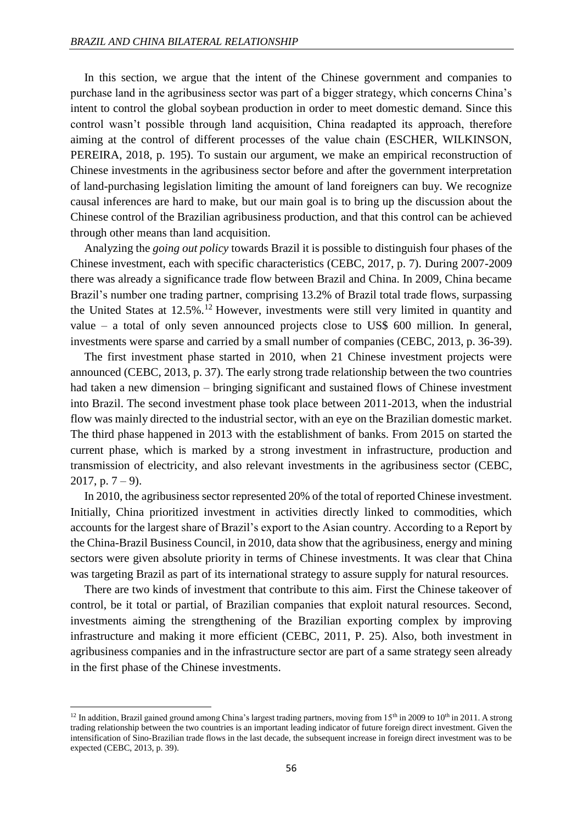In this section, we argue that the intent of the Chinese government and companies to purchase land in the agribusiness sector was part of a bigger strategy, which concerns China's intent to control the global soybean production in order to meet domestic demand. Since this control wasn't possible through land acquisition, China readapted its approach, therefore aiming at the control of different processes of the value chain (ESCHER, WILKINSON, PEREIRA, 2018, p. 195). To sustain our argument, we make an empirical reconstruction of Chinese investments in the agribusiness sector before and after the government interpretation of land-purchasing legislation limiting the amount of land foreigners can buy. We recognize causal inferences are hard to make, but our main goal is to bring up the discussion about the Chinese control of the Brazilian agribusiness production, and that this control can be achieved through other means than land acquisition.

Analyzing the *going out policy* towards Brazil it is possible to distinguish four phases of the Chinese investment, each with specific characteristics (CEBC, 2017, p. 7). During 2007-2009 there was already a significance trade flow between Brazil and China. In 2009, China became Brazil's number one trading partner, comprising 13.2% of Brazil total trade flows, surpassing the United States at 12.5%.<sup>12</sup> However, investments were still very limited in quantity and value – a total of only seven announced projects close to US\$ 600 million. In general, investments were sparse and carried by a small number of companies (CEBC, 2013, p. 36-39).

The first investment phase started in 2010, when 21 Chinese investment projects were announced (CEBC, 2013, p. 37). The early strong trade relationship between the two countries had taken a new dimension – bringing significant and sustained flows of Chinese investment into Brazil. The second investment phase took place between 2011-2013, when the industrial flow was mainly directed to the industrial sector, with an eye on the Brazilian domestic market. The third phase happened in 2013 with the establishment of banks. From 2015 on started the current phase, which is marked by a strong investment in infrastructure, production and transmission of electricity, and also relevant investments in the agribusiness sector (CEBC, 2017, p.  $7 - 9$ ).

In 2010, the agribusiness sector represented 20% of the total of reported Chinese investment. Initially, China prioritized investment in activities directly linked to commodities, which accounts for the largest share of Brazil's export to the Asian country. According to a Report by the China-Brazil Business Council, in 2010, data show that the agribusiness, energy and mining sectors were given absolute priority in terms of Chinese investments. It was clear that China was targeting Brazil as part of its international strategy to assure supply for natural resources.

There are two kinds of investment that contribute to this aim. First the Chinese takeover of control, be it total or partial, of Brazilian companies that exploit natural resources. Second, investments aiming the strengthening of the Brazilian exporting complex by improving infrastructure and making it more efficient (CEBC, 2011, P. 25). Also, both investment in agribusiness companies and in the infrastructure sector are part of a same strategy seen already in the first phase of the Chinese investments.

<sup>&</sup>lt;sup>12</sup> In addition, Brazil gained ground among China's largest trading partners, moving from 15<sup>th</sup> in 2009 to 10<sup>th</sup> in 2011. A strong trading relationship between the two countries is an important leading indicator of future foreign direct investment. Given the intensification of Sino-Brazilian trade flows in the last decade, the subsequent increase in foreign direct investment was to be expected (CEBC, 2013, p. 39).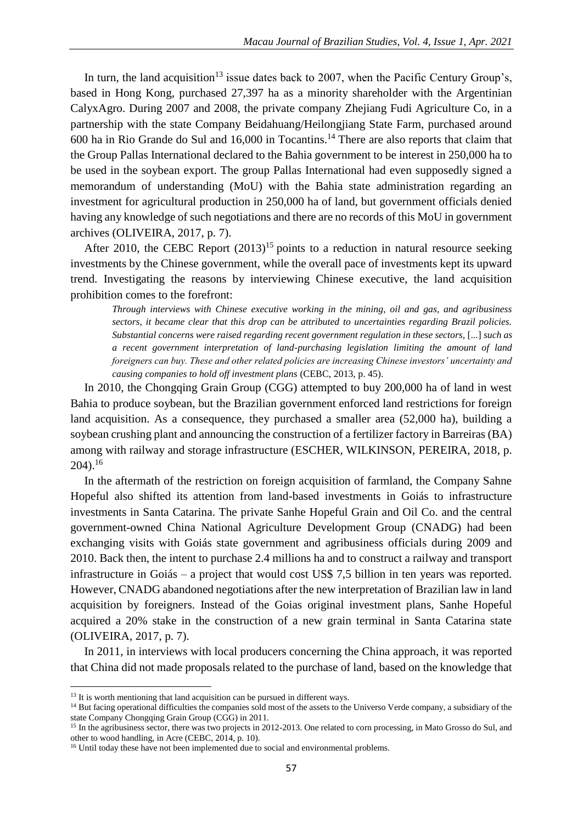In turn, the land acquisition<sup>13</sup> issue dates back to 2007, when the Pacific Century Group's, based in Hong Kong, purchased 27,397 ha as a minority shareholder with the Argentinian CalyxAgro. During 2007 and 2008, the private company Zhejiang Fudi Agriculture Co, in a partnership with the state Company Beidahuang/Heilongjiang State Farm, purchased around 600 ha in Rio Grande do Sul and 16,000 in Tocantins.<sup>14</sup> There are also reports that claim that the Group Pallas International declared to the Bahia government to be interest in 250,000 ha to be used in the soybean export. The group Pallas International had even supposedly signed a memorandum of understanding (MoU) with the Bahia state administration regarding an investment for agricultural production in 250,000 ha of land, but government officials denied having any knowledge of such negotiations and there are no records of this MoU in government archives (OLIVEIRA, 2017, p. 7).

After 2010, the CEBC Report  $(2013)^{15}$  points to a reduction in natural resource seeking investments by the Chinese government, while the overall pace of investments kept its upward trend. Investigating the reasons by interviewing Chinese executive, the land acquisition prohibition comes to the forefront:

*Through interviews with Chinese executive working in the mining, oil and gas, and agribusiness sectors, it became clear that this drop can be attributed to uncertainties regarding Brazil policies. Substantial concerns were raised regarding recent government regulation in these sectors,* [...] *such as a recent government interpretation of land-purchasing legislation limiting the amount of land foreigners can buy. These and other related policies are increasing Chinese investors' uncertainty and causing companies to hold off investment plans* (CEBC, 2013, p. 45).

In 2010, the Chongqing Grain Group (CGG) attempted to buy 200,000 ha of land in west Bahia to produce soybean, but the Brazilian government enforced land restrictions for foreign land acquisition. As a consequence, they purchased a smaller area (52,000 ha), building a soybean crushing plant and announcing the construction of a fertilizer factory in Barreiras (BA) among with railway and storage infrastructure (ESCHER, WILKINSON, PEREIRA, 2018, p.  $204$ ).<sup>16</sup>

In the aftermath of the restriction on foreign acquisition of farmland, the Company Sahne Hopeful also shifted its attention from land-based investments in Goiás to infrastructure investments in Santa Catarina. The private Sanhe Hopeful Grain and Oil Co. and the central government-owned China National Agriculture Development Group (CNADG) had been exchanging visits with Goiás state government and agribusiness officials during 2009 and 2010. Back then, the intent to purchase 2.4 millions ha and to construct a railway and transport infrastructure in Goiás – a project that would cost US\$ 7,5 billion in ten years was reported. However, CNADG abandoned negotiations after the new interpretation of Brazilian law in land acquisition by foreigners. Instead of the Goias original investment plans, Sanhe Hopeful acquired a 20% stake in the construction of a new grain terminal in Santa Catarina state (OLIVEIRA, 2017, p. 7).

In 2011, in interviews with local producers concerning the China approach, it was reported that China did not made proposals related to the purchase of land, based on the knowledge that

1

<sup>14</sup> But facing operational difficulties the companies sold most of the assets to the Universo Verde company, a subsidiary of the state Company Chongqing Grain Group (CGG) in 2011.

<sup>&</sup>lt;sup>13</sup> It is worth mentioning that land acquisition can be pursued in different ways.

<sup>&</sup>lt;sup>15</sup> In the agribusiness sector, there was two projects in 2012-2013. One related to corn processing, in Mato Grosso do Sul, and other to wood handling, in Acre (CEBC, 2014, p. 10).

<sup>&</sup>lt;sup>16</sup> Until today these have not been implemented due to social and environmental problems.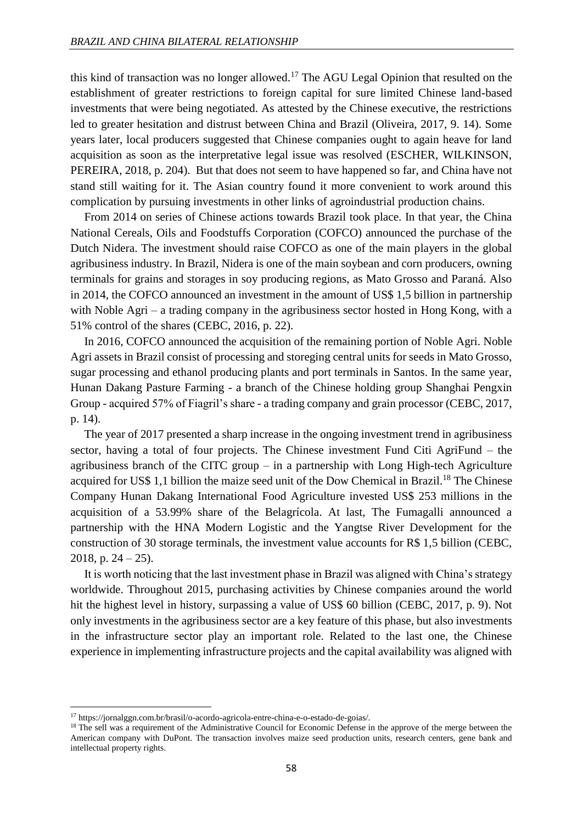this kind of transaction was no longer allowed.<sup>17</sup> The AGU Legal Opinion that resulted on the establishment of greater restrictions to foreign capital for sure limited Chinese land-based investments that were being negotiated. As attested by the Chinese executive, the restrictions led to greater hesitation and distrust between China and Brazil (Oliveira, 2017, 9. 14). Some years later, local producers suggested that Chinese companies ought to again heave for land acquisition as soon as the interpretative legal issue was resolved (ESCHER, WILKINSON, PEREIRA, 2018, p. 204). But that does not seem to have happened so far, and China have not stand still waiting for it. The Asian country found it more convenient to work around this complication by pursuing investments in other links of agroindustrial production chains.

From 2014 on series of Chinese actions towards Brazil took place. In that year, the China National Cereals, Oils and Foodstuffs Corporation (COFCO) announced the purchase of the Dutch Nidera. The investment should raise COFCO as one of the main players in the global agribusiness industry. In Brazil, Nidera is one of the main soybean and corn producers, owning terminals for grains and storages in soy producing regions, as Mato Grosso and Paraná. Also in 2014, the COFCO announced an investment in the amount of US\$ 1,5 billion in partnership with Noble Agri – a trading company in the agribusiness sector hosted in Hong Kong, with a 51% control of the shares (CEBC, 2016, p. 22).

In 2016, COFCO announced the acquisition of the remaining portion of Noble Agri. Noble Agri assets in Brazil consist of processing and storeging central units for seeds in Mato Grosso, sugar processing and ethanol producing plants and port terminals in Santos. In the same year, Hunan Dakang Pasture Farming - a branch of the Chinese holding group Shanghai Pengxin Group - acquired 57% of Fiagril's share - a trading company and grain processor (CEBC, 2017, p. 14).

The year of 2017 presented a sharp increase in the ongoing investment trend in agribusiness sector, having a total of four projects. The Chinese investment Fund Citi AgriFund – the agribusiness branch of the CITC group – in a partnership with Long High-tech Agriculture acquired for US\$ 1,1 billion the maize seed unit of the Dow Chemical in Brazil.<sup>18</sup> The Chinese Company Hunan Dakang International Food Agriculture invested US\$ 253 millions in the acquisition of a 53.99% share of the Belagrícola. At last, The Fumagalli announced a partnership with the HNA Modern Logistic and the Yangtse River Development for the construction of 30 storage terminals, the investment value accounts for R\$ 1,5 billion (CEBC, 2018, p.  $24 - 25$ ).

It is worth noticing that the last investment phase in Brazil was aligned with China's strategy worldwide. Throughout 2015, purchasing activities by Chinese companies around the world hit the highest level in history, surpassing a value of US\$ 60 billion (CEBC, 2017, p. 9). Not only investments in the agribusiness sector are a key feature of this phase, but also investments in the infrastructure sector play an important role. Related to the last one, the Chinese experience in implementing infrastructure projects and the capital availability was aligned with

<sup>17</sup> https://jornalggn.com.br/brasil/o-acordo-agricola-entre-china-e-o-estado-de-goias/.

<sup>&</sup>lt;sup>18</sup> The sell was a requirement of the Administrative Council for Economic Defense in the approve of the merge between the American company with DuPont. The transaction involves maize seed production units, research centers, gene bank and intellectual property rights.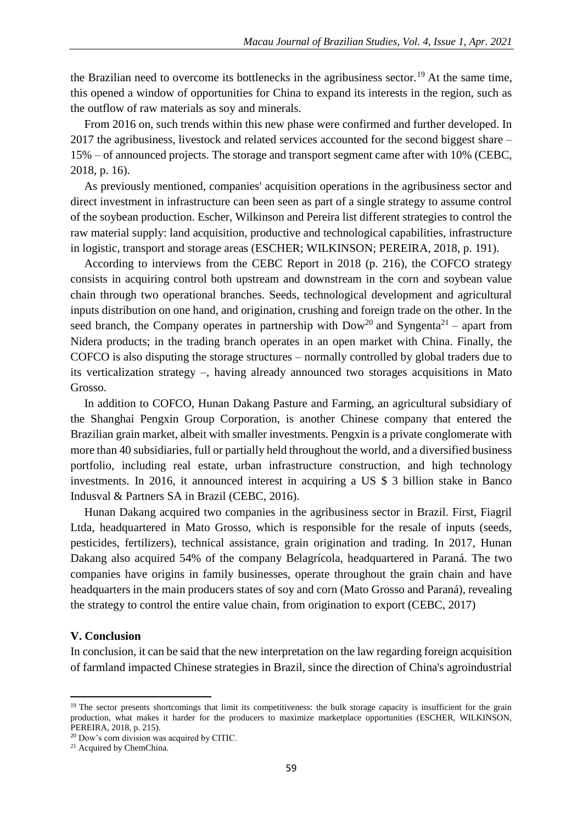the Brazilian need to overcome its bottlenecks in the agribusiness sector.<sup>19</sup> At the same time, this opened a window of opportunities for China to expand its interests in the region, such as the outflow of raw materials as soy and minerals.

From 2016 on, such trends within this new phase were confirmed and further developed. In 2017 the agribusiness, livestock and related services accounted for the second biggest share – 15% – of announced projects. The storage and transport segment came after with 10% (CEBC, 2018, p. 16).

As previously mentioned, companies' acquisition operations in the agribusiness sector and direct investment in infrastructure can been seen as part of a single strategy to assume control of the soybean production. Escher, Wilkinson and Pereira list different strategies to control the raw material supply: land acquisition, productive and technological capabilities, infrastructure in logistic, transport and storage areas (ESCHER; WILKINSON; PEREIRA, 2018, p. 191).

According to interviews from the CEBC Report in 2018 (p. 216), the COFCO strategy consists in acquiring control both upstream and downstream in the corn and soybean value chain through two operational branches. Seeds, technological development and agricultural inputs distribution on one hand, and origination, crushing and foreign trade on the other. In the seed branch, the Company operates in partnership with  $Dow<sup>20</sup>$  and Syngenta<sup>21</sup> – apart from Nidera products; in the trading branch operates in an open market with China. Finally, the COFCO is also disputing the storage structures – normally controlled by global traders due to its verticalization strategy –, having already announced two storages acquisitions in Mato Grosso.

In addition to COFCO, Hunan Dakang Pasture and Farming, an agricultural subsidiary of the Shanghai Pengxin Group Corporation, is another Chinese company that entered the Brazilian grain market, albeit with smaller investments. Pengxin is a private conglomerate with more than 40 subsidiaries, full or partially held throughout the world, and a diversified business portfolio, including real estate, urban infrastructure construction, and high technology investments. In 2016, it announced interest in acquiring a US \$ 3 billion stake in Banco Indusval & Partners SA in Brazil (CEBC, 2016).

Hunan Dakang acquired two companies in the agribusiness sector in Brazil. First, Fiagril Ltda, headquartered in Mato Grosso, which is responsible for the resale of inputs (seeds, pesticides, fertilizers), technical assistance, grain origination and trading. In 2017, Hunan Dakang also acquired 54% of the company Belagrícola, headquartered in Paraná. The two companies have origins in family businesses, operate throughout the grain chain and have headquarters in the main producers states of soy and corn (Mato Grosso and Paraná), revealing the strategy to control the entire value chain, from origination to export (CEBC, 2017)

### **V. Conclusion**

**.** 

In conclusion, it can be said that the new interpretation on the law regarding foreign acquisition of farmland impacted Chinese strategies in Brazil, since the direction of China's agroindustrial

<sup>&</sup>lt;sup>19</sup> The sector presents shortcomings that limit its competitiveness: the bulk storage capacity is insufficient for the grain production, what makes it harder for the producers to maximize marketplace opportunities (ESCHER, WILKINSON, PEREIRA, 2018, p. 215).

<sup>20</sup> Dow's corn division was acquired by CITIC.

<sup>21</sup> Acquired by ChemChina.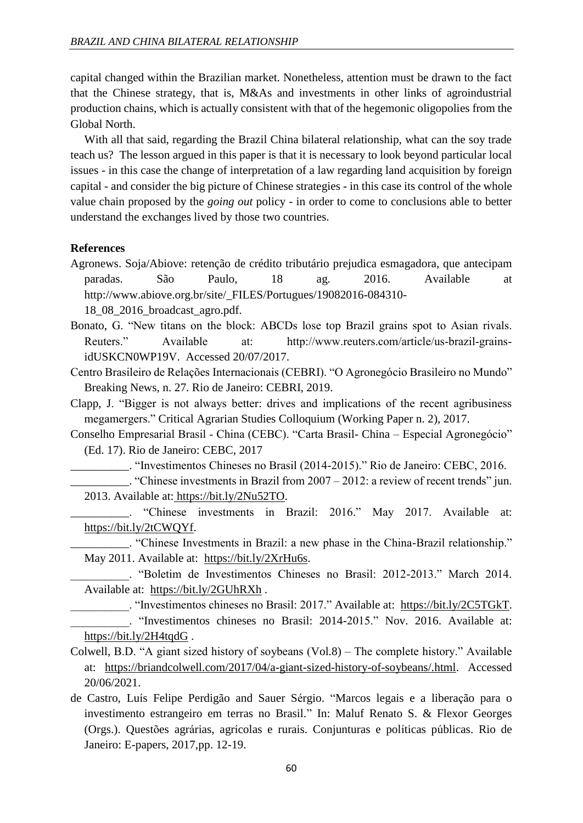capital changed within the Brazilian market. Nonetheless, attention must be drawn to the fact that the Chinese strategy, that is, M&As and investments in other links of agroindustrial production chains, which is actually consistent with that of the hegemonic oligopolies from the Global North.

With all that said, regarding the Brazil China bilateral relationship, what can the soy trade teach us? The lesson argued in this paper is that it is necessary to look beyond particular local issues - in this case the change of interpretation of a law regarding land acquisition by foreign capital - and consider the big picture of Chinese strategies - in this case its control of the whole value chain proposed by the *going out* policy - in order to come to conclusions able to better understand the exchanges lived by those two countries.

### **References**

- Agronews. Soja/Abiove: retenção de crédito tributário prejudica esmagadora, que antecipam paradas. São Paulo, 18 ag. 2016. Available at http://www.abiove.org.br/site/\_FILES/Portugues/19082016-084310- 18\_08\_2016\_broadcast\_agro.pdf.
- Bonato, G. "New titans on the block: ABCDs lose top Brazil grains spot to Asian rivals. Reuters." Available at: http://www.reuters.com/article/us-brazil-grainsidUSKCN0WP19V. Accessed 20/07/2017.

Centro Brasileiro de Relações Internacionais (CEBRI). "O Agronegócio Brasileiro no Mundo" Breaking News, n. 27. Rio de Janeiro: CEBRI, 2019.

- Clapp, J. "Bigger is not always better: drives and implications of the recent agribusiness megamergers." Critical Agrarian Studies Colloquium (Working Paper n. 2), 2017.
- Conselho Empresarial Brasil China (CEBC). "Carta Brasil- China Especial Agronegócio" (Ed. 17). Rio de Janeiro: CEBC, 2017
	- \_\_\_\_\_\_\_\_\_\_. "Investimentos Chineses no Brasil (2014-2015)." Rio de Janeiro: CEBC, 2016.
- $\ldots$  "Chinese investments in Brazil from 2007 2012: a review of recent trends" jun. 2013. Available at: https://bit.ly/2Nu52TO.
- "Chinese investments in Brazil: 2016." May 2017. Available at: https://bit.ly/2tCWQYf.

\_\_\_\_\_\_\_\_\_\_. "Chinese Investments in Brazil: a new phase in the China-Brazil relationship." May 2011. Available at: https://bit.ly/2XrHu6s.

\_\_\_\_\_\_\_\_\_\_. "Boletim de Investimentos Chineses no Brasil: 2012-2013." March 2014. Available at: https://bit.ly/2GUhRXh .

- \_\_\_\_\_\_\_\_\_\_. "Investimentos chineses no Brasil: 2017." Available at: https://bit.ly/2C5TGkT. \_\_\_\_\_\_\_\_\_\_. "Investimentos chineses no Brasil: 2014-2015." Nov. 2016. Available at:
- https://bit.ly/2H4tqdG .
- Colwell, B.D. "A giant sized history of soybeans (Vol.8) The complete history." Available at: https://briandcolwell.com/2017/04/a-giant-sized-history-of-soybeans/.html. Accessed 20/06/2021.
- de Castro, Luís Felipe Perdigão and Sauer Sérgio. "Marcos legais e a liberação para o investimento estrangeiro em terras no Brasil." In: Maluf Renato S. & Flexor Georges (Orgs.). Questões agrárias, agrícolas e rurais. Conjunturas e políticas públicas. Rio de Janeiro: E-papers, 2017,pp. 12-19.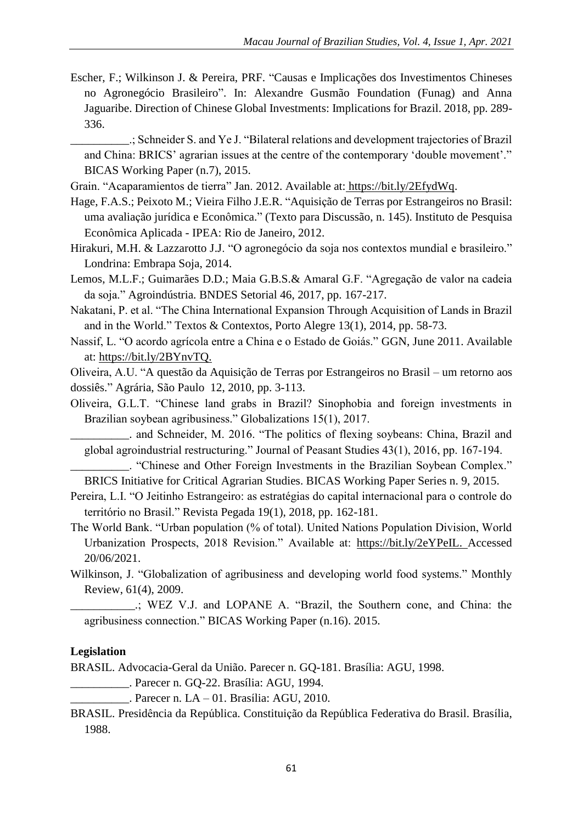Escher, F.; Wilkinson J. & Pereira, PRF. "Causas e Implicações dos Investimentos Chineses no Agronegócio Brasileiro". In: Alexandre Gusmão Foundation (Funag) and Anna Jaguaribe. Direction of Chinese Global Investments: Implications for Brazil. 2018, pp. 289- 336.

\_\_\_\_\_\_\_\_\_\_.; Schneider S. and Ye J. "Bilateral relations and development trajectories of Brazil and China: BRICS' agrarian issues at the centre of the contemporary 'double movement'." BICAS Working Paper (n.7), 2015.

- Grain. "Acaparamientos de tierra" Jan. 2012. Available at: https://bit.ly/2EfydWq.
- Hage, F.A.S.; Peixoto M.; Vieira Filho J.E.R. "Aquisição de Terras por Estrangeiros no Brasil: uma avaliação jurídica e Econômica." (Texto para Discussão, n. 145). Instituto de Pesquisa Econômica Aplicada - IPEA: Rio de Janeiro, 2012.
- Hirakuri, M.H. & Lazzarotto J.J. "O agronegócio da soja nos contextos mundial e brasileiro." Londrina: Embrapa Soja, 2014.
- Lemos, M.L.F.; Guimarães D.D.; Maia G.B.S.& Amaral G.F. "Agregação de valor na cadeia da soja." Agroindústria. BNDES Setorial 46, 2017, pp. 167-217.
- Nakatani, P. et al. "The China International Expansion Through Acquisition of Lands in Brazil and in the World." Textos & Contextos, Porto Alegre 13(1), 2014, pp. 58-73.
- Nassif, L. "O acordo agrícola entre a China e o Estado de Goiás." GGN, June 2011. Available at: https://bit.ly/2BYnvTQ.

Oliveira, A.U. "A questão da Aquisição de Terras por Estrangeiros no Brasil – um retorno aos dossiês." Agrária, São Paulo 12, 2010, pp. 3-113.

Oliveira, G.L.T. "Chinese land grabs in Brazil? Sinophobia and foreign investments in Brazilian soybean agribusiness." Globalizations 15(1), 2017.

\_\_\_\_\_\_\_\_\_\_. and Schneider, M. 2016. "The politics of flexing soybeans: China, Brazil and global agroindustrial restructuring." Journal of Peasant Studies 43(1), 2016, pp. 167-194.

\_\_\_\_\_\_\_\_\_\_. "Chinese and Other Foreign Investments in the Brazilian Soybean Complex." BRICS Initiative for Critical Agrarian Studies. BICAS Working Paper Series n. 9, 2015.

- Pereira, L.I. "O Jeitinho Estrangeiro: as estratégias do capital internacional para o controle do território no Brasil." Revista Pegada 19(1), 2018, pp. 162-181.
- The World Bank. "Urban population (% of total). United Nations Population Division, World Urbanization Prospects, 2018 Revision." Available at: https://bit.ly/2eYPeIL. Accessed 20/06/2021.
- Wilkinson, J. "Globalization of agribusiness and developing world food systems." Monthly Review, 61(4), 2009.
	- \_\_\_\_\_\_\_\_\_\_\_.; WEZ V.J. and LOPANE A. "Brazil, the Southern cone, and China: the agribusiness connection." BICAS Working Paper (n.16). 2015.

# **Legislation**

BRASIL. Advocacia-Geral da União. Parecer n. GQ-181. Brasília: AGU, 1998.

- \_\_\_\_\_\_\_\_\_\_. Parecer n. GQ-22. Brasília: AGU, 1994.
	- $\Box$ . Parecer n. LA 01. Brasília: AGU, 2010.
- BRASIL. Presidência da República. Constituição da República Federativa do Brasil. Brasília, 1988.